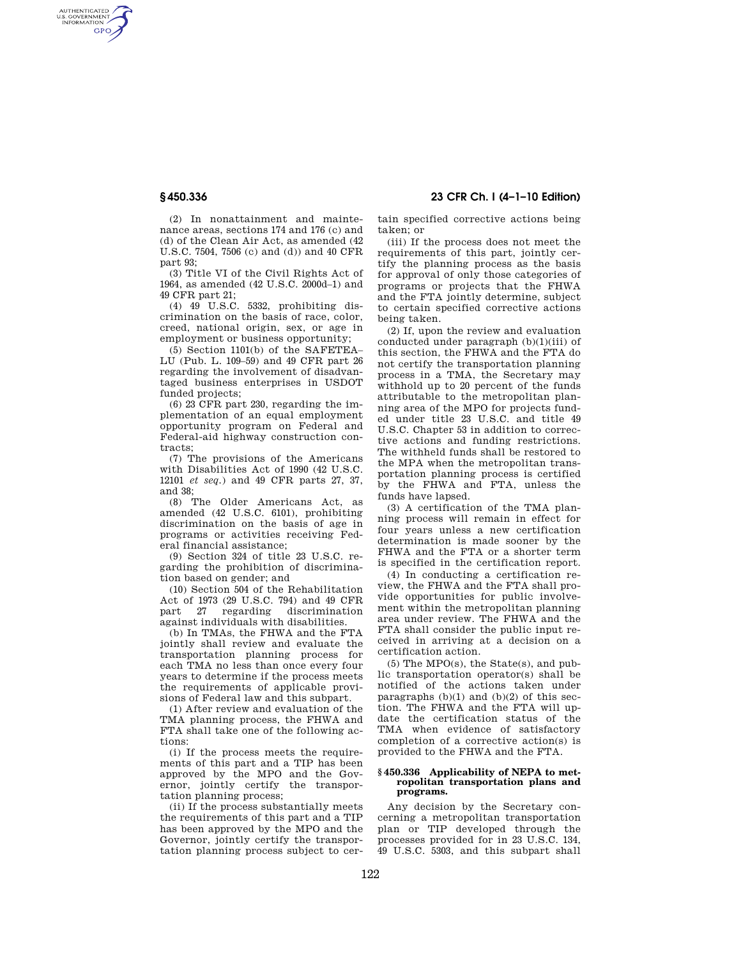AUTHENTICATED<br>U.S. GOVERNMENT<br>INFORMATION **GPO** 

**§ 450.336 23 CFR Ch. I (4–1–10 Edition)** 

(2) In nonattainment and maintenance areas, sections 174 and 176 (c) and (d) of the Clean Air Act, as amended (42 U.S.C. 7504, 7506 (c) and (d)) and 40 CFR part 93;

(3) Title VI of the Civil Rights Act of 1964, as amended (42 U.S.C. 2000d–1) and 49 CFR part 21;

(4) 49 U.S.C. 5332, prohibiting discrimination on the basis of race, color, creed, national origin, sex, or age in employment or business opportunity;

(5) Section 1101(b) of the SAFETEA– LU (Pub. L. 109–59) and 49 CFR part 26 regarding the involvement of disadvantaged business enterprises in USDOT funded projects;

(6) 23 CFR part 230, regarding the implementation of an equal employment opportunity program on Federal and Federal-aid highway construction contracts;

(7) The provisions of the Americans with Disabilities Act of 1990 (42 U.S.C. 12101 *et seq.*) and 49 CFR parts 27, 37, and 38;

(8) The Older Americans Act, as amended (42 U.S.C. 6101), prohibiting discrimination on the basis of age in programs or activities receiving Federal financial assistance;

(9) Section 324 of title 23 U.S.C. regarding the prohibition of discrimination based on gender; and

(10) Section 504 of the Rehabilitation Act of 1973 (29 U.S.C. 794) and 49 CFR<br>part. 27 regarding discrimination part  $27$  regarding against individuals with disabilities.

(b) In TMAs, the FHWA and the FTA jointly shall review and evaluate the transportation planning process for each TMA no less than once every four years to determine if the process meets the requirements of applicable provisions of Federal law and this subpart.

(1) After review and evaluation of the TMA planning process, the FHWA and FTA shall take one of the following actions:

(i) If the process meets the requirements of this part and a TIP has been approved by the MPO and the Governor, jointly certify the transportation planning process;

(ii) If the process substantially meets the requirements of this part and a TIP has been approved by the MPO and the Governor, jointly certify the transportation planning process subject to certain specified corrective actions being taken; or

(iii) If the process does not meet the requirements of this part, jointly certify the planning process as the basis for approval of only those categories of programs or projects that the FHWA and the FTA jointly determine, subject to certain specified corrective actions being taken.

(2) If, upon the review and evaluation conducted under paragraph (b)(1)(iii) of this section, the FHWA and the FTA do not certify the transportation planning process in a TMA, the Secretary may withhold up to 20 percent of the funds attributable to the metropolitan planning area of the MPO for projects funded under title 23 U.S.C. and title 49 U.S.C. Chapter 53 in addition to corrective actions and funding restrictions. The withheld funds shall be restored to the MPA when the metropolitan transportation planning process is certified by the FHWA and FTA, unless the funds have lapsed.

(3) A certification of the TMA planning process will remain in effect for four years unless a new certification determination is made sooner by the FHWA and the FTA or a shorter term is specified in the certification report.

(4) In conducting a certification review, the FHWA and the FTA shall provide opportunities for public involvement within the metropolitan planning area under review. The FHWA and the FTA shall consider the public input received in arriving at a decision on a certification action.

(5) The MPO(s), the State(s), and public transportation operator(s) shall be notified of the actions taken under paragraphs  $(b)(1)$  and  $(b)(2)$  of this section. The FHWA and the FTA will update the certification status of the TMA when evidence of satisfactory completion of a corrective action(s) is provided to the FHWA and the FTA.

### **§ 450.336 Applicability of NEPA to metropolitan transportation plans and programs.**

Any decision by the Secretary concerning a metropolitan transportation plan or TIP developed through the processes provided for in 23 U.S.C. 134, 49 U.S.C. 5303, and this subpart shall